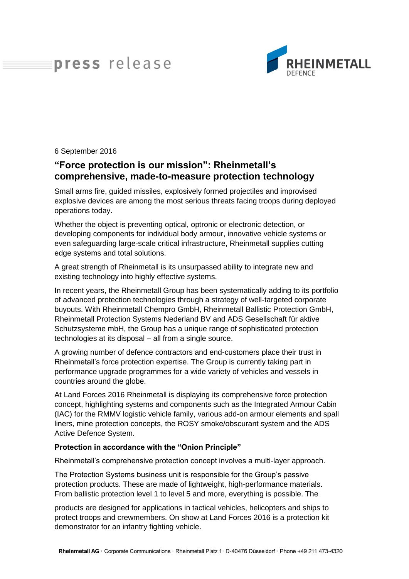## press release



6 September 2016

## **"Force protection is our mission": Rheinmetall's comprehensive, made-to-measure protection technology**

Small arms fire, guided missiles, explosively formed projectiles and improvised explosive devices are among the most serious threats facing troops during deployed operations today.

Whether the object is preventing optical, optronic or electronic detection, or developing components for individual body armour, innovative vehicle systems or even safeguarding large-scale critical infrastructure, Rheinmetall supplies cutting edge systems and total solutions.

A great strength of Rheinmetall is its unsurpassed ability to integrate new and existing technology into highly effective systems.

In recent years, the Rheinmetall Group has been systematically adding to its portfolio of advanced protection technologies through a strategy of well-targeted corporate buyouts. With Rheinmetall Chempro GmbH, Rheinmetall Ballistic Protection GmbH, Rheinmetall Protection Systems Nederland BV and ADS Gesellschaft für aktive Schutzsysteme mbH, the Group has a unique range of sophisticated protection technologies at its disposal – all from a single source.

A growing number of defence contractors and end-customers place their trust in Rheinmetall's force protection expertise. The Group is currently taking part in performance upgrade programmes for a wide variety of vehicles and vessels in countries around the globe.

At Land Forces 2016 Rheinmetall is displaying its comprehensive force protection concept, highlighting systems and components such as the Integrated Armour Cabin (IAC) for the RMMV logistic vehicle family, various add-on armour elements and spall liners, mine protection concepts, the ROSY smoke/obscurant system and the ADS Active Defence System.

## **Protection in accordance with the "Onion Principle"**

Rheinmetall's comprehensive protection concept involves a multi-layer approach.

The Protection Systems business unit is responsible for the Group's passive protection products. These are made of lightweight, high-performance materials. From ballistic protection level 1 to level 5 and more, everything is possible. The

products are designed for applications in tactical vehicles, helicopters and ships to protect troops and crewmembers. On show at Land Forces 2016 is a protection kit demonstrator for an infantry fighting vehicle.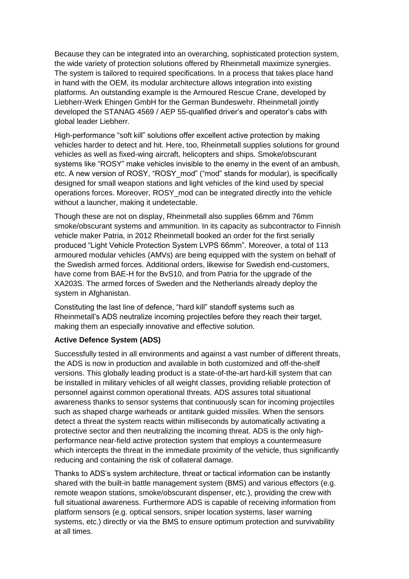Because they can be integrated into an overarching, sophisticated protection system, the wide variety of protection solutions offered by Rheinmetall maximize synergies. The system is tailored to required specifications. In a process that takes place hand in hand with the OEM, its modular architecture allows integration into existing platforms. An outstanding example is the Armoured Rescue Crane, developed by Liebherr-Werk Ehingen GmbH for the German Bundeswehr. Rheinmetall jointly developed the STANAG 4569 / AEP 55-qualified driver's and operator's cabs with global leader Liebherr.

High-performance "soft kill" solutions offer excellent active protection by making vehicles harder to detect and hit. Here, too, Rheinmetall supplies solutions for ground vehicles as well as fixed-wing aircraft, helicopters and ships. Smoke/obscurant systems like "ROSY" make vehicles invisible to the enemy in the event of an ambush, etc. A new version of ROSY, "ROSY\_mod" ("mod" stands for modular), is specifically designed for small weapon stations and light vehicles of the kind used by special operations forces. Moreover, ROSY\_mod can be integrated directly into the vehicle without a launcher, making it undetectable.

Though these are not on display, Rheinmetall also supplies 66mm and 76mm smoke/obscurant systems and ammunition. In its capacity as subcontractor to Finnish vehicle maker Patria, in 2012 Rheinmetall booked an order for the first serially produced "Light Vehicle Protection System LVPS 66mm". Moreover, a total of 113 armoured modular vehicles (AMVs) are being equipped with the system on behalf of the Swedish armed forces. Additional orders, likewise for Swedish end-customers, have come from BAE-H for the BvS10, and from Patria for the upgrade of the XA203S. The armed forces of Sweden and the Netherlands already deploy the system in Afghanistan.

Constituting the last line of defence, "hard kill" standoff systems such as Rheinmetall's ADS neutralize incoming projectiles before they reach their target, making them an especially innovative and effective solution.

## **Active Defence System (ADS)**

Successfully tested in all environments and against a vast number of different threats, the ADS is now in production and available in both customized and off-the-shelf versions. This globally leading product is a state-of-the-art hard-kill system that can be installed in military vehicles of all weight classes, providing reliable protection of personnel against common operational threats. ADS assures total situational awareness thanks to sensor systems that continuously scan for incoming projectiles such as shaped charge warheads or antitank guided missiles. When the sensors detect a threat the system reacts within milliseconds by automatically activating a protective sector and then neutralizing the incoming threat. ADS is the only highperformance near-field active protection system that employs a countermeasure which intercepts the threat in the immediate proximity of the vehicle, thus significantly reducing and containing the risk of collateral damage.

Thanks to ADS's system architecture, threat or tactical information can be instantly shared with the built-in battle management system (BMS) and various effectors (e.g. remote weapon stations, smoke/obscurant dispenser, etc.), providing the crew with full situational awareness. Furthermore ADS is capable of receiving information from platform sensors (e.g. optical sensors, sniper location systems, laser warning systems, etc.) directly or via the BMS to ensure optimum protection and survivability at all times.